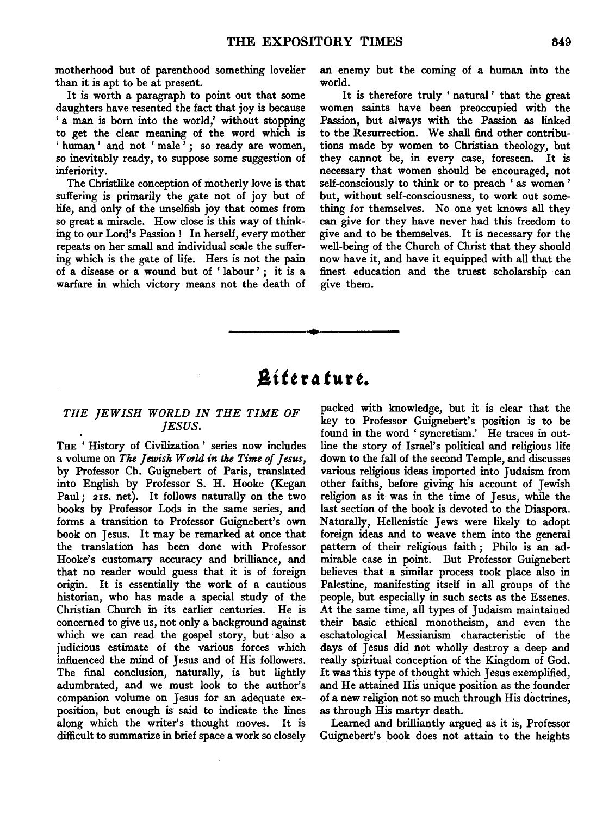motherhood but of parenthood something lovelier than it is apt to be at present.

It is worth a paragraph to point out that some daughters have resented the fact that joy is because ' a man is born into the world,' without stopping to get the clear meaning of the word which is ' human' and not 'male'; so ready are women, so inevitably ready, to suppose some suggestion of inferiority.

The Christlike conception of motherly love is that suffering is primarily the gate not of joy but of life, and only of the unselfish joy that comes from so great a miracle. How close is this way of thinking to our Lord's Passion! In herself, every mother repeats on her small and individual scale the suffering which is the gate of life. Hers is not the pain of a disease or a wound but of ' labour ' ; it is a warfare in which victory means not the death of an enemy but the coming of a human into the world.

It is therefore truly ' natural ' that the great women saints have been preoccupied with the Passion, but always with the Passion as linked to the Resurrection. We shall find other contributions made by women to Christian theology, but they cannot be, in every case, foreseen. It is necessary that women should be encouraged, not self-consciously to think or to preach ' as women ' but, without self-consciousness, to work out something for themselves. No one yet knows all they can give for they have never had this freedom to give and to be themselves. It is necessary for the well-being of the Church of Christ that they should now have it, and have it equipped with all that the finest education and the truest scholarship can give them.

# $\tilde{B}$ iterature.

..

### *THE JEWISH WORLD IN THE TIME OF JESUS.*

THE 'History of Civilization' series now includes a volume on *The Jewish World in* the *Time of Jesus,*  by Professor Ch. Guignebert of Paris, translated into English by Professor S. H. Hooke (Kegan Paul; 21s. net). It follows naturally on the two books by Professor Lods in the same series, and forms a transition to Professor Guignebert's own book on Jesus. It may be remarked at once that the translation has been done with Professor Hooke's customary accuracy and brilliance, and that no reader would guess that it is of foreign origin. It is essentially the work of a cautious historian, who has made a special study of the Christian Church in its earlier centuries. He is concerned to give us, not only a background against which we can read the gospel story, but also a judicious estimate of the various forces which influenced the mind of Jesus and of His followers. The final conclusion, naturally, is but lightly adumbrated, and we must look to the author's companion volume on Jesus for an adequate exposition, but enough is said to indicate the lines along which the writer's thought moves. It is difficult to summarize in brief space a work so closely packed with knowledge, but it is clear that the key to Professor Guignebert's position is to be found in the word ' syncretism.' He traces in outline the story of Israel's political and religious life down to the fall of the second Temple, and discusses various religious ideas imported into Judaism from other faiths, before giving his account of Jewish religion as it was in the time of Jesus, while the last section of the book is devoted to the Diaspora. Naturally, Hellenistic Jews were likely to adopt foreign ideas and to weave them into the general pattern of their religious faith ; Philo is an admirable case in point. But Professor Guignebert believes that a similar process took place also in Palestine, manifesting itself in all groups of the people, but especially in such sects as the Essenes. At the same time, all types of Judaism maintained their basic ethical monotheism, and even the eschatological Messianism characteristic of the days of Jesus did not wholly destroy a deep and really spiritual conception of the Kingdom of God. It was this type of thought which Jesus exemplified, and He attained His unique position as the founder of a new religion not so much through His doctrines, as through His martyr death.

Learned and brilliantly argued as it is, Professor Guignebert's book does not attain to the heights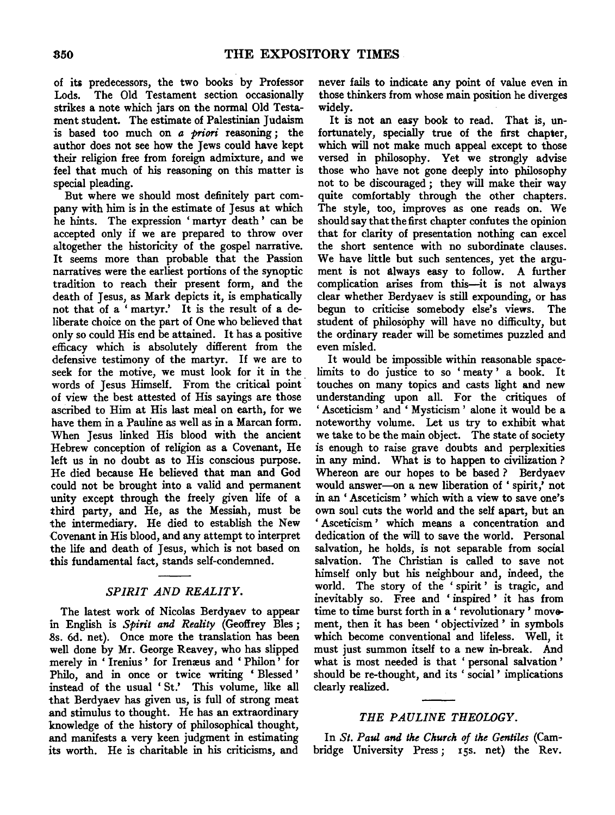of its predecessors, the two books by Professor Lods. The Old Testament section occasionally strikes a note which jars on the normal Old Testament student. The estimate of Palestinian Judaism is based too much on *a priori* reasoning ; the author does not see how the Jews could have kept their religion free from foreign admixture, and we feel that much of his reasoning on this matter is special pleading.

But where we should most definitely part company with him is in the estimate of Jesus at which he hints. The expression ' martyr death ' can be accepted only if we are prepared to throw over altogether the historicity of the gospel narrative. It seems more than probable that the Passion narratives were the earliest portions of the synoptic tradition to reach their present form, and the death of Jesus, as Mark depicts it, is emphatically not that of a 'martyr.' It is the result of a deliberate choice on the part of One who believed that only so could His end be attained. It has a positive efficacy which is absolutely different from the defensive testimony of the martyr. If we are to seek for the motive, we must look for it in the words of Jesus Himself. From the critical point of view the best attested of His sayings are those ascribed to Him at His last meal on earth, for we have them in a Pauline as well as in a Marean form. When Jesus linked His blood with the ancient Hebrew conception of religion as a Covenant, He left us in no doubt as to His conscious purpose. He died because He believed that man and God could not be brought into a valid and permanent unity except through the freely given life of a third party, and He, as the Messiah, must be the intermediary. He died to establish the New Covenant in His blood, and any attempt to interpret the life and death of Jesus, which is not based on this fundamental fact, stands self-condemned.

## *SPIRIT AND REALITY.*

The latest work of Nicolas Berdyaev to appear in English is *Spirit and Reality* (Geoffrey Bies ; 8s. 6d. net). Once more the translation has been well done by Mr. George Reavey, who has slipped merely in 'Irenius' for Irenæus and 'Philon' for Philo, and in once or twice writing ' Blessed ' instead of the usual ' St.' This volume, like all that Berdyaev has given us, is full of strong meat and stimulus to thought. He has an extraordinary knowledge of the history of philosophical thought, and manifests a very keen judgment in estimating its worth. He is charitable in his criticisms, and

never fails to indicate any point of value even in those thinkers from whose main position he diverges widely.

It is not an easy book to read. That is, unfortunately, specially true of the first chapter, which will not make much appeal except to those versed in philosophy. Yet we strongly advise those who have not gone deeply into philosophy not to be discouraged ; they will make their way quite comfortably through the other chapters. The style, too, improves as one reads on. We should say that the first chapter confutes the opinion that for clarity of presentation nothing can excel the short sentence with no subordinate clauses. We have little but such sentences, yet the argument is not always easy to follow. A further complication arises from this-it is not always clear whether Berdyaev is still expounding, or has begun to criticise somebody else's views. The student of philosophy will have no difficulty, but the ordinary reader will be sometimes puzzled and even misled.

It would be impossible within reasonable spacelimits to do justice to so ' meaty ' a book. It touches on many topics and casts light and new understanding upon all. For the critiques of ' Asceticism ' and ' Mysticism ' alone it would be a noteworthy volume. Let us try to exhibit what we take to be the main object. The state of society is enough to raise grave doubts and perplexities in any mind. What is to happen to civilization ? Whereon are our hopes to be based ? Berdyaev would answer-on a new liberation of 'spirit,' not in an ' Asceticism ' which with a view to save one's own soul cuts the world and the self apart, but an ' Asceticism ' which means a concentration and dedication of the will to save the world. Personal salvation, he holds, is not separable from social salvation. The Christian is called to save not himself only but his neighbour and, indeed, the world. The story of the ' spirit ' is tragic, and inevitably so. Free and ' inspired ' it has from time to time burst forth in a ' revolutionary ' movement, then it has been ' objectivized ' in symbols which become conventional and lifeless. Well, it must just summon itself to a new in-break. And what is most needed is that ' personal salvation ' should be re-thought, and its ' social ' implications clearly realized.

# *THE PAULINE THEOLOGY.*

In *St. Paul and the Church of the Gentiles* (Cambridge University Press; 15s. net) the Rev.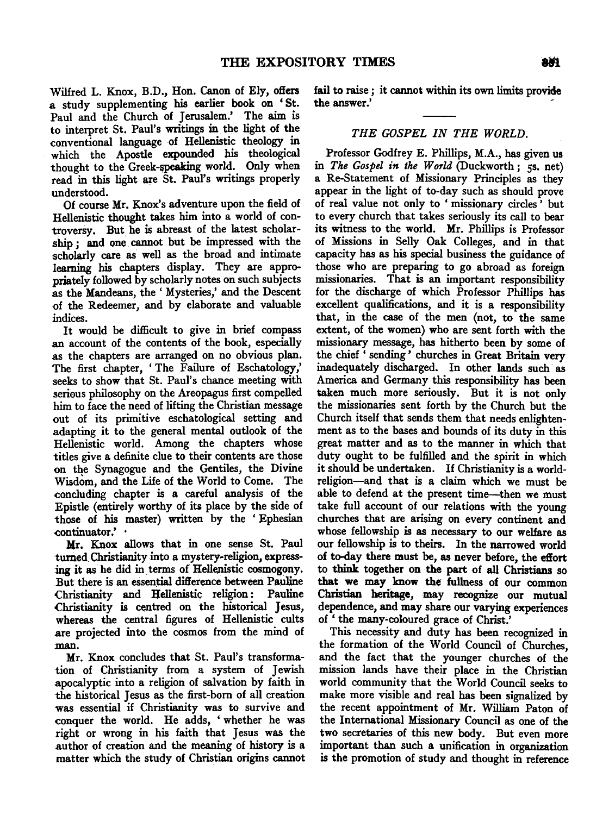Wilfred L. Knox, B.D., Hon. Canon of Ely, offers a study supplementing his earlier book on ' St. Paul and the Church of Jerusalem.' The aim is to interpret St. Paul's writings in the light of the conventional language of Hellenistic theology in which the Apostle expounded his theological thought to the Greek-speaking world. Only when read in this light are St. Paul's writings properly understood.

Of course Mr. Knox's adventure upon the field of Hellenistic thought takes him into a world of controversy. But he is abreast of the latest scholarship ; and one cannot but be impressed with the scholarly care as well as the broad and intimate learning his chapters display. They are appropriately followed by scholarly notes on such subjects as the Mandeans, the' Mysteries,' and the Descent of the Redeemer, and by elaborate and valuable indices.

It would be difficult to give in brief compass an account of the contents of the book, especially as the chapters are arranged on no obvious plan. The first chapter, 'The Failure of Eschatology,' seeks to show that St. Paul's chance meeting with serious philosophy on the Areopagus first compelled him to face the need of lifting the Christian message out of its primitive eschatological setting and adapting it to the general mental outlook of the Hellenistic world. Among the chapters whose titles give a definite clue to their contents are those on the Synagogue and the Gentiles, the Divine Wisdom, and the Life of the World to Come. The concluding chapter is a careful analysis of the Epistle (entirely worthy of its place by the side of those of his master) written by the ' Ephesian continuator.'

Mr. Knox allows that in one sense St. Paul turned Christianity into a mystery-religion, express ing it as he did in terms of Hellenistic cosmogony. But there is an essential difference between Pauline<br>Christianity and Hellenistic religion: Pauline Christianity and Hellenistic religion: Christianity is centred on the historical Jesus, whereas the central figures of Hellenistic cults are projected into the cosmos from the mind of man.

Mr. Knox concludes that St. Paul's transformation of Christianity from a system of Jewish apocalyptic into a religion of salvation by faith in the historical Jesus as the first-born of all creation was essential if Christianity was to survive and conquer the world. He adds, ' whether he was right or wrong in his faith that Jesus was the author of creation and the meaning of history is a matter which the study of Christian origins cannot

fail to raise ; it cannot within its own limits provide the answer.'

### *THE GOSPEL IN THE WORLD.*

Professor Godfrey E. Phillips, M.A., has given us in *The Gospel in the World* (Duckworth ; 5s. net) a Re-Statement of Missionary Principles as they appear in the light of to-day such as should prove of real value not only to ' missionary circles ' but to every church that takes seriously its call to bear its witness to the world. Mr. Phillips is Professor of Missions in Selly Oak Colleges, and in that capacity has as his special business the guidance of those who are preparing to go abroad as foreign missionaries. That is an important responsibility for the discharge of which Professor Phillips has excellent qualifications, and it is a responsibility that, in the case of the men (not, to the same extent, of the women) who are sent forth with the missionary message, has hitherto been by some of the chief ' sending ' churches in Great Britain very inadequately discharged. In other lands such· as America and Germany this responsibility has been taken much more seriously. But it is not only the missionaries sent forth by the Church but the Church itself that sends them that needs enlightenment as to the bases and bounds of its duty in this great matter and as to the manner in which that duty ought to be fulfilled and the spirit in which it should be undertaken. If Christianity is a worldreligion-and that is a claim which we must be able to defend at the present time-then we must take full account of our relations with the young churches that are arising on every continent and whose fellowship is as necessary to our welfare as our fellowship is to theirs. In the narrowed world of to-day there must be, as never before, the effort to think together on the part of all Christians so that we may know the fullness of our common Christian heritage, may recognize our mutual dependence, and may share our varying experiences of ' the many-coloured grace of Christ.'

This necessity and duty has been recognized in the formation of the World Council of Churches, and the fact that the younger churches of the mission lands have their place in the Christian world community that the World Council seeks to make more visible and real has been signalized by the recent appointment of Mr. William Paton of the International Missionary Council as one of the two secretaries of this new body. But even more important than such a unification in organization is the promotion of study and thought in reference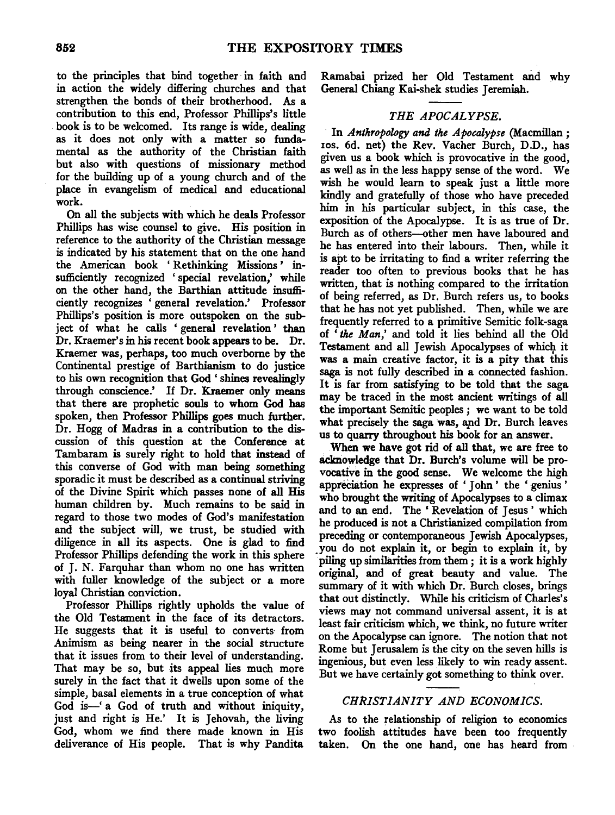to the principles that bind together in faith and in action the widely differing churches and that strengthen the bonds of their brotherhood. As a contribution to this end, Professor Phillips's little book is to be welcomed. Its range is wide, dealing as it does not only with a matter so fundamental as the authority of the Christian faith but also with questions of missionary method for the building up of a young church and of the place in evangelism of medical and educational work.

On all the subjects with which he deals Professor Phillips has wise counsel to give. His position in reference to the authority of the Christian message is indicated by his statement that on the one hand the American book ' Rethinking Missions ' insufficiently recognized 'special revelation,' while on the other hand, the Barthian attitude insufficiently recognizes ' general revelation.' Professor Phillips's position is more outspoken on the subject of what he calls ' general revelation ' than Dr. Kraemer's in his recent book appears to be. Dr. Kraemer was, perhaps, too much overborne by the Continental prestige of Barthianism to do justice to his own recognition that God ' shines revealingly through conscience.' If Dr. Kraemer only means that there are prophetic souls to whom God has spoken, then Professor Phillips goes much further. Dr. Hogg of Madras in a contribution to the discussion of this question at the Conference at Tambaram is surely right to hold that instead of this converse of God with man being something sporadic it must be described as a continual striving of the Divine Spirit which passes none of all His human children by. Much remains to be said in regard to those two modes of God's manifestation and the subject will, we trust, be studied with diligence in all its aspects. One is glad to find Professor Phillips defending the work in this sphere of J. N. Farquhar than whom no one has written with fuller knowledge of the subject or a more loyal Christian conviction.

Professor Phillips rightly upholds the value of the Old Testament in the face of its detractors. He suggests that it is useful to converts· from Animism as being nearer in the social structure that it issues from to their level of understanding. That may be so, but its appeal lies much more surely in the fact that it dwells upon some of the simple, basal elements in a true conception of what God is-' a God of truth and without iniquity, just and right is He.' It is Jehovah, the living God, whom we find there made known in His deliverance of His people. That is why Pandita

Ramabai prized her Old Testament and why General Chiang Kai-shek studies Jeremiah.

# *THE APOCALYPSE.*

· In *Anthropology and the Apocalypse* (Macmillan; 10s. 6d. net) the Rev. Vacher Burch, D.D., has given us a book which is provocative in the good, as well as in the less happy sense of the word. We wish he would learn to speak just a little more kindly and gratefully of those who have preceded him in his particular subject, in this case, the exposition of the Apocalypse. It is as true of Dr. Burch as of others--0ther men have laboured and he has entered into their labours. Then, while it is apt to be irritating to find a writer referring the reader too often to previous books that he has written, that is nothing compared to the irritation of being referred, as Dr. Burch refers us, to books that he has not yet published. Then, while we are frequently referred to a primitive Semitic folk-saga of ' *the Man* ' and told it lies behind all the Old Testament and all Jewish Apocalypses of which it was a main creative factor, it is a pity that this saga is not fully described in a connected fashion. It is far from satisfying to be told that the saga may be traced in the most ancient writings of all the important Semitic peoples ; we want to be told what precisely the saga was, apd Dr. Burch leaves us to quarry throughout his book for an answer.

When we have got rid of all that, we are free to acknowledge that Dr. Burch's volume will be provocative in the good sense. We welcome the high appreciation he expresses of 'John' the 'genius' who brought the writing of Apocalypses to a climax and to an end. The ' Revelation of Jesus ' which he produced is not a Christianized compilation from preceding or contemporaneous Jewish Apocalypses, you do not explain it, or begin to explain it, by piling up similarities from them; it is a work highly original, and of great beauty and value. The summary of it with which Dr. Burch closes, brings that out distinctly. While his criticism of Charles's views may not command universal assent, it is at least fair criticism which, we think, no future writer on the Apocalypse can ignore. The notion that not Rome but Jerusalem is the city on the seven hills is ingenious, but even less likely to win ready assent. But we have certainly got something to think over.

# *CHRISTIANITY AND ECONOMICS.*

As to the relationship of religion to economics two foolish attitudes have been too frequently taken. On the one hand, one has heard from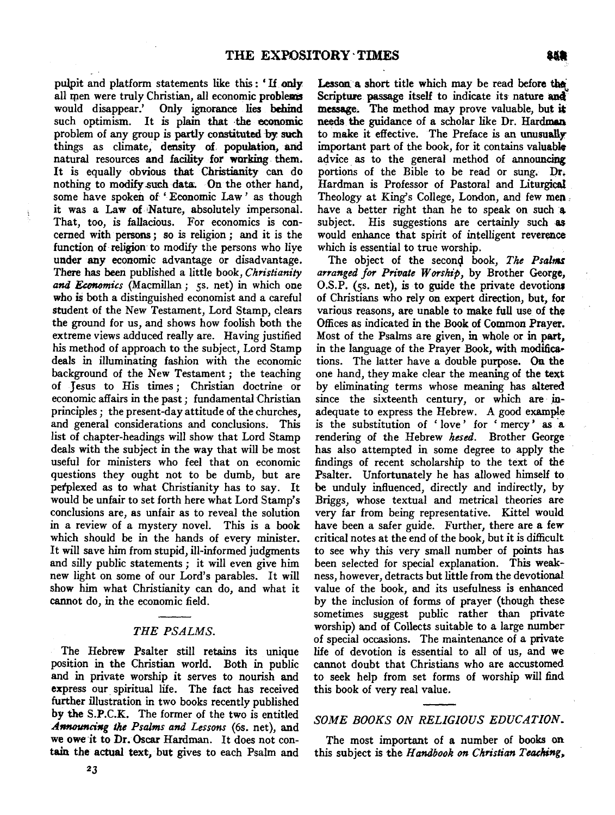pulpit and platform statements like this : ' If. only quit and platform statements like this: If only all men were truly Christian, all economic problems<br>would disappear.' Only ignorance lies behind Only ignorance lies behind such optimism. It is plain that the economic problem of any group is partly constituted by such things as climate, density of population, and natural resources and facility for working them. It is equally obvious that Christianity can do nothing to modify such data. On the other hand, some have spoken of 'Economic Law' as though it was a Law of Nature, absolutely impersonal. That, too, is fallacious. For economics is con $cerned$  with persons; so is religion; and it is the function of religion to modify the persons who live under any economic advantage or disadvantage. There has been published a little book, Christianity and Economics (Macmillan; 5s. net) in which one who is both a distinguished economist and a careful student of the New Testament, Lord Stamp, clears the ground for us, and shows how foolish both the extreme views adduced really are. Having justified his method of approach to the subject, Lord Stamp deals in illuminating fashion with the economic background of the New Testament; the teaching of Jesus to His times; Christian doctrine or economic affairs in the past; fundamental Christian principles : the present-day attitude of the churches. and general considerations and conclusions. This list of chapter-headings will show that Lord Stamp deals with the subject in the way that will be most useful for ministers who feel that on economic questions they ought not to be dumb, but are perplexed as to what Christianity has to say. It would be unfair to set forth here what Lord Stamp's conclusions are, as unfair as to reveal the solution in a review of a mystery novel. This is a book which should be in the hands of every minister. It will save him from stupid, ill-informed judgments and silly public statements; it will even give him new light on some of our Lord's parables. It will show him what Christianity can do, and what it cannot do, in the economic field.

#### *THE PSALMS.*

 $T$  Hebrew Psalter still retains its unique  $T$ Ine Hebrew Psalter still retains its unique position in the Christian world. Both in public and in private worship it serves to nourish and express our spiritual life. The fact has received this book of very real value. further illustration in two books recently published by the S.P.C.K. The former of the two is entitled Announcing the Psalms and Lessons (6s. net), and we owe it to Dr. Oscar Hardman. It does not contain the actual text, but gives to each Psalm and  $23$ 

Lesson a short title which may be read before~  $\frac{1}{2}$  snort title which may be read before the Scripture passage itself to indicate its nature and message. The method may prove valuable, but it needs the guidance of a scholar like Dr. Hardman to make it effective. The Preface is an unusually important part of the book, for it contains valuable advice as to the general method of announcing portions of the Bible to be read or sung. Dr. Hardman is Professor of Pastoral and Liturgical Theology at King's College, London, and few men. have a better right than he to speak on such a subject. His suggestions are certainly such as would enhance that spirit of intelligent reverence which is essential to true worship.

The object of the second book, The Psalms arranged for Private Worship, by Brother George,  $O.S.P.$  (5. net), is to guide the private devotions of Christians who rely on expert direction, but, for various reasons, are unable to make full use of the Offices as indicated in the Book of Common Prayer. Most of the Psalms are given, in whole or in part. in the language of the Prayer Book, with modifications. The latter have a double purpose. On the one hand, they make clear the meaning of the text by eliminating terms whose meaning has altered since the sixteenth century, or which are inadequate to express the Hebrew. A good example is the substitution of 'love' for 'mercy' as a rendering of the Hebrew hesed. Brother George has also attempted in some degree to apply the findings of recent scholarship to the text of the Psalter. Unfortunately he has allowed himself to be unduly influenced, directly and indirectly, by Briggs, whose textual and metrical theories are very far from being representative. Kittel would have been a safer guide. Further, there are a few critical notes at the end of the book, but it is difficult to see why this very small number of points has been selected for special explanation. This weakness, however, detracts but little from the devotional value of the book, and its usefulness is enhanced by the inclusion of forms of prayer (though these sometimes suggest public rather than private worship) and of Collects suitable to a large number of special occasions. The maintenance of a private life of devotion is essential to all of us, and we cannot doubt that Christians who are accustomed to seek help from set forms of worship will find

### *SOME BOOKS ON RELIGIOUS EDUCATION.*

 $T_{\rm eff}$  important of a number of  $\sim$   $T_{\rm eff}$  on  $\sim$   $T_{\rm eff}$  on  $\sim$ The most important of a number of books on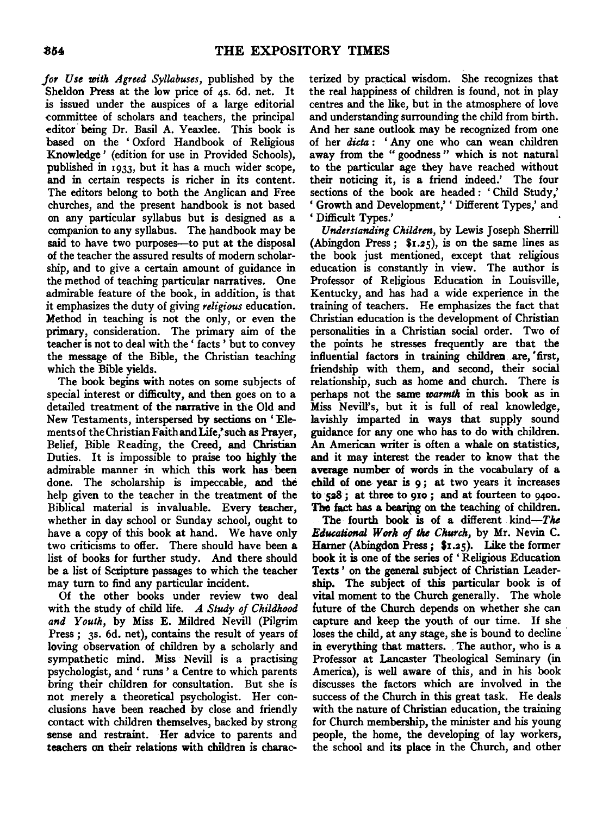for Use with Agreed Syllabuses, published by the Sheldon Press at the low price of 4s. 6d. net. It is issued under the auspices of a large editorial committee of scholars and teachers, the principal editor being Dr. Basil A. Yeaxlee. This book is based on the ' Oxford Handbook of Religious Knowledge' (edition for use in Provided Schools), published in 1933, but it has a much wider scope, and in certain respects is richer in its content. The editors belong to both the Anglican and Free churches, and the present handbook is not based on any particular syllabus but is designed as a companion to any syllabus. The handbook may be said to have two purposes--- to put at the disposal of the teacher the assured results of modem scholarship, and to give a certain amount of guidance in the method of teaching particular narratives. One admirable feature of the book, in addition, is that it emphasizes the duty of giving *religious* education. Method in teaching is not the only, or even the primary, consideration. The primary aim of the teacher is not to deal with the ' facts ' but to convey the message of the Bible, the Christian teaching which the Bible yields.

The book begins with notes on some subjects of special interest or difficulty, and then goes on to a detailed treatment of the narrative in the Old and New Testaments, interspersed by sections on 'Elementsof theChristianFaithandLife,'such as Prayer, Belief, Bible Reading, the Creed, and Christian Duties. It is impossible to praise too highly the admirable manner in which this work has been done. The scholarship is impeccable, and the help given to the teacher in the treatment of the Biblical material is invaluable. Every teacher, whether in day school or Sunday school, ought to have a copy of this book at hand. We have only two criticisms to offer. There should have been a list of books for further study. And there should be a list of Sctipture passages to which the teacher may tum to find any particular incident.

Of the other books under review two deal with the study of child life. *A Study of Childhood and Youth,* by Miss E. Mildred Nevill (Pilgrim Press; 3s. 6d. net), contains the result of years of loving observation of children by a scholarly and sympathetic mind. Miss Nevill is a practising psychologist, and ' runs ' a Centre to which parents bring their children for consultation. But she is not merely a theoretical psychologist. Her conclusions have been reached by close and friendly contact with children themselves, backed by strong sense and restraint. Her advice to parents and teachers on their relations with children is charac~

terized by practical wisdom. She recognizes that the real happiness of children is found, not in play centres and the like, but in the atmosphere of love and understanding surrounding the child from birth. And her sane outlook may be recognized from one of her *dicta* : ' Any one who can wean children away from the " goodness " which is not natural to the particular age they have reached without their noticing it, is a friend indeed.' The four sections of the book are headed: 'Child Study,' 'Growth and Development,' 'Different Types,' and ' Difficult Types.'

*Understanding Child,en,* by Lewis Joseph Sherrill (Abingdon Press;  $\mathfrak{F}_{1.25}$ ), is on the same lines as the book just mentioned, except that religious education is constantly in view. The author is Professor of Religious Education in Louisville, Kentucky, and has had a wide experience in the training of teachers. He emphasizes the fact that Christian education is the development of Christian personalities in a Christian social order. Two of the points he stresses frequently are that the influential factors in training children are, 'first, friendship with them, and second, their social relationship, such as home and church. There is perhaps not the same *warmth* in this book as in Miss Nevill's, but it is full of real knowledge, lavishly imparted in ways that supply sound guidance for any one who has to do with children. An American writer is often a whale on statistics, and it may interest the reader to know that the average number of words in the vocabulary of a child of one year is 9; at two years it increases to 528 ; at three to 910 ; and at fourteen to 9400. The fact has a bearing on the teaching of children.

The fourth book is of a different kind-The *Etlueational W01k of the Church,* by Mr. Nevin C. Harner (Abingdon Press; \$1.25). Like the former book it is one of the series of ' Religious Education Texts ' on the general subject of Christian Leadership. The subject of this particular book is of vital moment to the Church generally. The whole future of the Church depends on whether she can capture and keep the youth of our time. If she loses the child, at any stage, she is bound to decline in everything that matters. The author, who is a Professor at Lancaster Theological Seminary (in America), is well aware of this, and in his book discusses the factors which are involved in the success of the Church in this great task. He deals with the nature of Christian education, the training for Church membership, the minister and his young people, the home, the developing. of lay workers, the school and its place in the Church, and other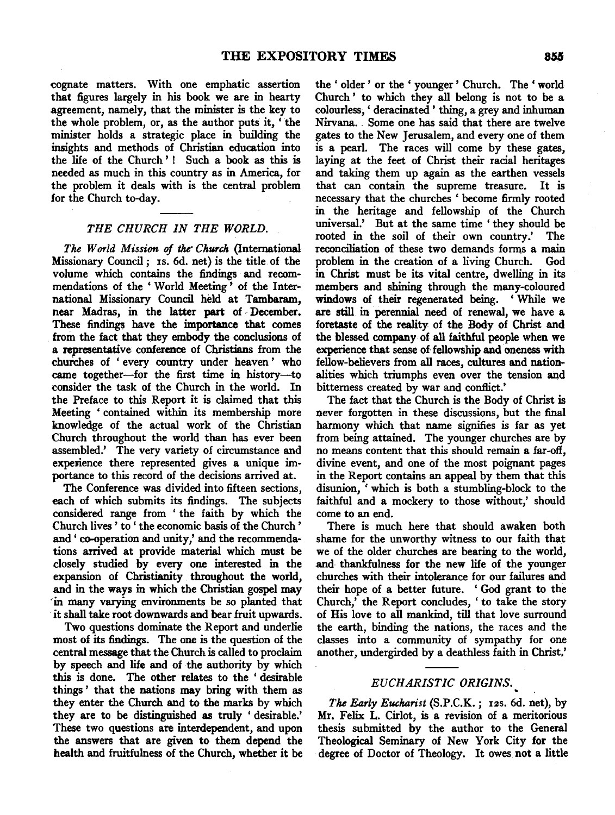cognate matters. With one emphatic assertion that figures largely in his book we are in hearty agreement, namely, that the minister is the key to the whole problem, or, as the author puts it, ' the minister holds a strategic place in building the insights and methods of Christian education into the life of the Church '! Such a book as this is needed as much in this country as in America, for the problem it deals with is the central problem for the Church to-day.

#### *THE CHURCH IN THE WORLD.*

*The World Mission of the- Church* (International Missionary Council; 1s. 6d. net) is the title.of the volume which contains the findings and recommendations of the ' World Meeting ' of the International Missionary Council held at Tambaram, near Madras, in the latter part of December. These findings have the importance that comes from the fact that they embody the conclusions of a representative conference of Christians from the chuiches of ' every country under heaven ' who came together-for the first time in history-to consider the task of the Church in the world. In the Preface to this Report it is claimed that this Meeting ' contained within its membership more knowledge of the actual work of the Christian Church throughout the world than has ever been assembled.' The very variety of circumstance and experience there represented gives a unique importance to this record of the decisions arrived at.

The Conference was divided into fifteen sections, each of which submits its findings. The subjects considered range from ' the faith by which the Church lives ' to ' the economic basis of the Church ' and' co-operation and unity,' and the recommendations arrived at provide material which must be closely studied by every one interested in the expansion of Christianity throughout the world, and in the ways in which the Christian gospel may ·in many varying environments be so planted that · it shall take root downwards and bear fruit upwards.

Two questions dominate the Report and underlie most of its findings. The one is the question of the central message that the Church is called to proclaim by speech and life and of the authority by which this is done. The other relates to the ' desirable things ' that the nations may bring with them as they enter the Church and to the marks by which they are to be distinguished as truly ' desirable.' These two questions are interdependent, and upon the answers that are given to them depend the health and fruitfulness of the Church, whether it be the ' older ' or the ' younger ' Church. The ' world Church ' to which they all belong is not to be a colourless, ' deracinated ' thing, a grey and inhuman Nirvana. . Some one has said that there are twelve gates to the New Jerusalem, and every one of them is a pearl. The races will come by these gates, laying at the feet of Christ their racial heritages and taking them up again as the earthen vessels that can contain the supreme treasure. It is necessary that the churches ' become firmly rooted in the heritage and fellowship of the Church universal.' But at the same time ' they should be rooted in the soil of their own country.' The reconciliation of these two demands forms a main problem in the creation of a living Church. God in Christ must be its vital centre, dwelling in its members and shining through the many-coloured windows of their regenerated being. ' While we are still in perennial need of renewal, we have a foretaste of the reality of the Body of Christ and the blessed company of all faithful people when we experience that sense of fellowship and oneness with fellow-believers from all races, cultures and nationalities which triumphs even over the tension and bitterness created by war and conflict.'

The fact that the Church is the Body of Christ is never forgotten in these discussions, but the final harmony which that name signifies is far as yet from being attained. The younger churches are by no means content that this should remain a far-off, divine event, and one of the most poignant pages in the Report contains an appeal by them that this disunion, ' which is both a stumbling-block to the faithful and a mockery to those without,' should come to an end.

There is much here that should awaken both shame for the unworthy witness to our faith that we of the older churches are bearing to the world, and thankfulness for the new life of the younger churches with their intolerance for our failures and their hope of a better future. ' God grant to the Church,' the Report concludes, 'to take the story of His love to all mankind, till that love surround the earth, binding the nations, the races and the classes into a community of sympathy for one another, undergirded by a deathless faith in Christ.'

# *EUCHARIST IC ORIGINS.*

~

*The Early Eucharist* (S.P.C.K.; 12s. 6d. net), by Mr. Felix L. Cirlot, is a revision of a meritorious thesis submitted by the author to the General Theological Seminary of New York City for the degree of Doctor of Theology. It owes not a little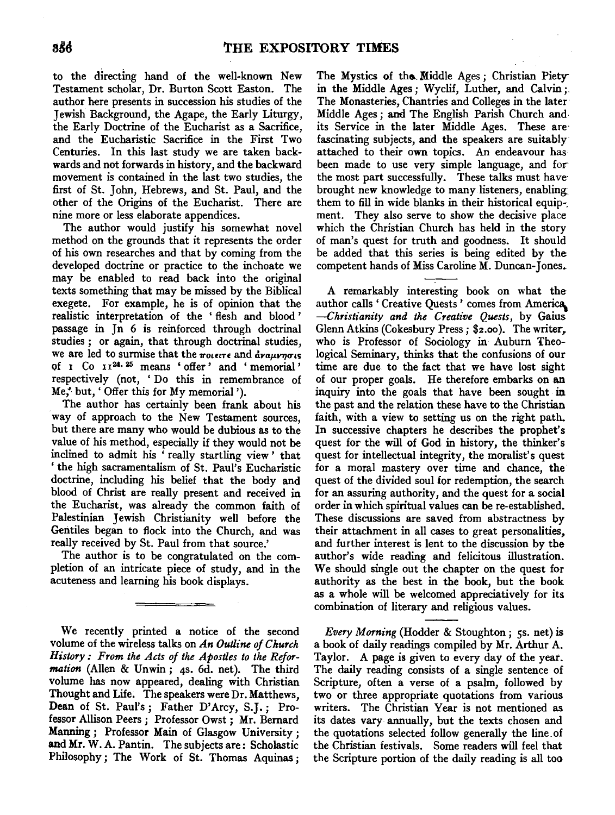to the directing hand of the well-known New Testament scholar, Dr. Burton Scott Easton. The author here presents in succession his studies of the Jewish Background, the Agape, the Early Liturgy, the Early Doctrine of the Eucharist as a Sacrifice, and the Eucharistic Sacrifice in the First Two Centuries. In this last study we are taken backwards and not forwards in history, and the backward movement is contained in the last two studies, the first of St. John, Hebrews, and St. Paul, and the other of the Origins of the Eucharist. There are nine more or less elaborate appendices.

The author would justify his somewhat novel method on the grounds that it represents the order of his own researches and that by coming from the developed doctrine or practice to the inchoate we may be enabled to read back into the original texts something that may be missed by the Biblical exegete. For example, he is of opinion that the realistic interpretation of the ' flesh and blood ' passage in Jn 6 is reinforced through doctrinal studies ; or again, that through doctrinal studies, we are led to surmise that the  $m$ omere and  $\frac{1}{2} m \mu \nu \eta \sigma \nu s$ of 1 Co 1124. 25 means ' offer' and ' memorial' respectively (not, 'Do this in remembrance of Me/ but,' Offer this for My memorial').

The author has certainly been frank about his way of approach to the New Testament sources, but there are many who would be dubious as to the value of his method, especially if they would not be inclined to admit his ' really startling view ' that ' the high sacramentalism of St. Paul's Eucharistic doctrine, including his belief that the body and blood of Christ are really present and received in the Eucharist, was already the common faith of Palestinian Jewish Christianity well before the Gentiles began to flock into the Church, and was really received by St. Paul from that source.'

The author is to be congratulated on the completion of an intricate piece of study, and in the acuteness and learning his book displays.

We recently printed a notice of the second volume of the wireless talks on *An Outline of Church History: From the Acts of the Apostles to the Reformation* (Allen & Unwin; 4s. 6d. net). The third volume has now appeared, dealing with Christian Thought and Life. The speakers were Dr. Matthews, Dean of St. Paul's; Father D'Arcy, S.J.; Professor Allison Peers; Professor Owst; Mr. Bernard Manning ; Professor Main of Glasgow University ; and Mr. W. A. Pantin. The subjects are: Scholastic Philosophy; The Work of St. Thomas Aquinas;

The Mystics of the Middle Ages; Christian Piety in the Middle Ages; Wyclif, Luther, and Calvin;. The Monasteries, Chantries and Colleges in the later Middle Ages ; and The English Parish Church and its Service in the later Middle Ages. These are· fascinating subjects, and the speakers are suitably attached to their own topics. An endeavour has been made to use very simple language, and for the most part successfully. These talks must have· brought new knowledge to many listeners, enabling them to fill in wide blanks in their historical equip-. ment. They also serve to show the decisive place which the Christian Church has held in the story of man's quest for truth and goodness. It should be added that this series is being edited by the competent hands of Miss Caroline M. Duncan-Jones.

A remarkably interesting book on what the author calls ' Creative Quests' comes from America. *-Christianity and the Creative Quests,* by Gaius Glenn Atkins (Cokesbury Press;  $$2.00$ ). The writer, who is Professor of Sociology in Auburn Theological Seminary, thinks that the confusions of our time are due to the fact that we have lost sight of our proper goals. He therefore embarks on an inquiry into the goals that have been sought in the past and the relation these have to the Christian faith, with a view to setting us on the right path. In successive chapters he describes the prophet's quest for the will of God in history, the thinker's quest for intellectual integrity, the moralist's quest for a moral mastery over time and chance, the quest of the divided soul for redemption, the search for an assuring authority, and the quest for a social order in which spiritual values can be re-established. These discussions are saved from abstractness by their attachment in all cases to great personalities, and further interest is lent to the discussion by the author's wide reading and felicitous illustration. We should single out the chapter on the quest for authority as the best in the book, but the book as a whole will be welcomed appreciatively for its combination of literary and religious values.

*Every Morning* (Hodder & Stoughton; 5s. net) is a book of daily readings compiled by Mr. Arthur A. Taylor. A page is given to every day of the year. The daily reading consists of a single sentence of Scripture, often a verse of a psalm, followed by two or three appropriate quotations from various writers. The Christian Year is not mentioned as its dates vary annually, but the texts chosen and the quotations selected follow generally the line. of the Christian festivals. Some readers will feel that the Scripture portion of the daily reading is all too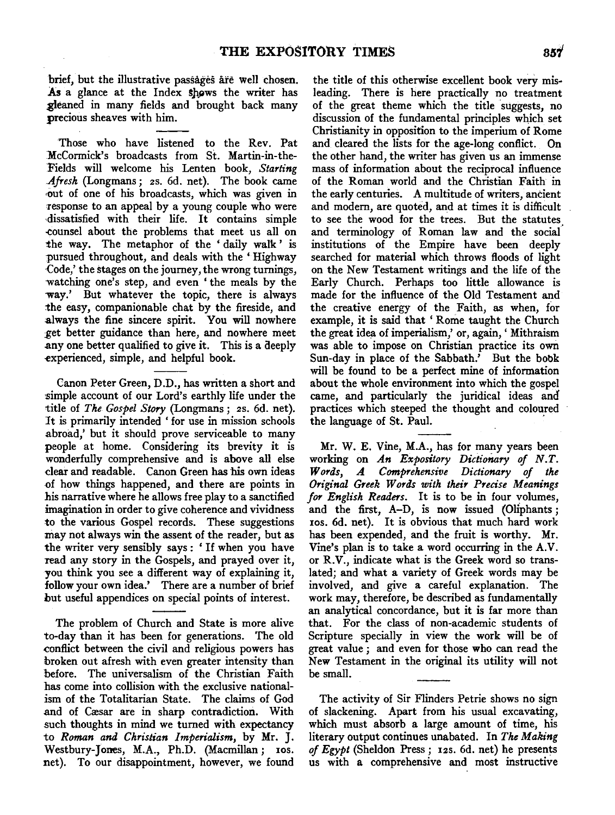brief, but the illustrative passages are well chosen. As a glance at the Index shows the writer has ~eaned in many fields and brought back many precious sheaves with him.

'Those who have listened to the Rev. Pat McCormick's broadcasts from St. Martin-in-the-Fields will welcome his Lenten book, *Starting .Afresh* (Longmans; 2s. 6d. net). The book came out of one of his broadcasts, which was given in response to an appeal by a young couple who were ·dissatisfied with their life. It contains simple -counsel about the problems that meet us all on the way. The metaphor of the ' daily walk ' is pursued throughout, and deals with the ' Highway ·Code,' the stages on the journey, the wrong turnings, watching one's step, and even 'the meals by the way.' But whatever the topic, there is always the easy, companionable chat by the fireside, and always the fine sincere spirit. You will nowhere :get better guidance than here, and nowhere meet any one better qualified to give it. This is a deeply -experienced, simple, and helpful book.

Canon Peter Green, D.D., has written a short and simple account of our Lord's earthly life under the title of *The Gospel Story* (Longmans; 2s. 6d. net). It is primarily intended 'for use in mission schools abroad,' but it should prove serviceable to many people at home. Considering its brevity it is wonderfully comprehensive and is above all else dear and readable. Canon Green has his own ideas of how things happened, and there are points in his narrative where he allows free play to a sanctified imagination in order to give coherence and vividness to the various Gospel records. These suggestions may not always win the assent of the reader, but as the writer very sensibly says : ' If when you have read any story in the Gospels, and prayed over it, you think you see a different way of explaining it, follow your own idea.' There are a number of brief but useful appendices on special points of interest.

The problem of Church and State is more alive to-day than it has been for generations. The old .conflict between the civil and religious powers has broken out afresh with even greater intensity than before. The universalism of the Christian Faith has come into collision with the exclusive nationalism of the Totalitarian State. The claims of God and of Cæsar are in sharp contradiction. With such thoughts in mind we turned with expectancy to *Roman and Christian Imperialism,* by Mr. J. Westbury-Jones, M.A., Ph.D. (Macmillan; 10s. net). To our disappointment, however, we found

the title of this otherwise excellent book very misleading. There is here practically no treatment of the great theme which the title suggests, no discussion of the fundamental principles which set Christianity in opposition to the imperium of Rome and cleared the lists for the age-long conflict. On the other hand, the writer has given us an immense mass of information about the reciprocal influence of the Roman world and the Christian Faith in the early centuries. A multitude of writers, ancient and modem, are quoted, and at times it is difficult to see the wood for the trees. But the statutes and terminology of Roman law and the social institutions of the Empire have been deeply searched for material which throws floods of light on the New Testament writings and the life of the Early Church. Perhaps too little allowance is made for the influence of the Old Testament and the creative energy of the Faith, as when, for example, it is said that ' Rome taught the Church the great idea of imperialism,' or, again, ' Mithraism was able to impose on Christian practice its own Sun-day in place of the Sabbath.' But the bobk will be found to be a perfect mine of information about the whole environment into which the gospel came, and particularly the juridical ideas and practices which steeped the thought and coloured the language of St. Paul.

Mr. W. E. Vine, M.A., has for many years been working on *An Expository Dictionary of N.T. Words, A Comprehensive Dictionary of the Original Greek Words with their Precise Meanings for English Readers.* It is to be in four volumes, and the first,  $A-D$ , is now issued (Oliphants ; 10s. 6d. net). It is obvious that much hard work has been expended, and the fruit is worthy. Mr. Vine's plan is to take a word occurring in the A.V. or R.V., indicate what is the Greek word so translated; and what a variety of Greek words may be involved, and give a careful explanation. The work may, therefore, be described as fundamentally an analytical concordance, but it is far more than that. For the class of non-academic students of Scripture specially in view the work will be of great value ; and even for those who can read the New Testament in the original its utility will not be small.

The activity of Sir Flinders Petrie shows no sign of slackening. Apart from his usual excavating, which must absorb a large amount of time, his literary output continues unabated. In *The Making of Egypt* (Sheldon Press; 12s. 6d. net) he presents us with a comprehensive and most instructive